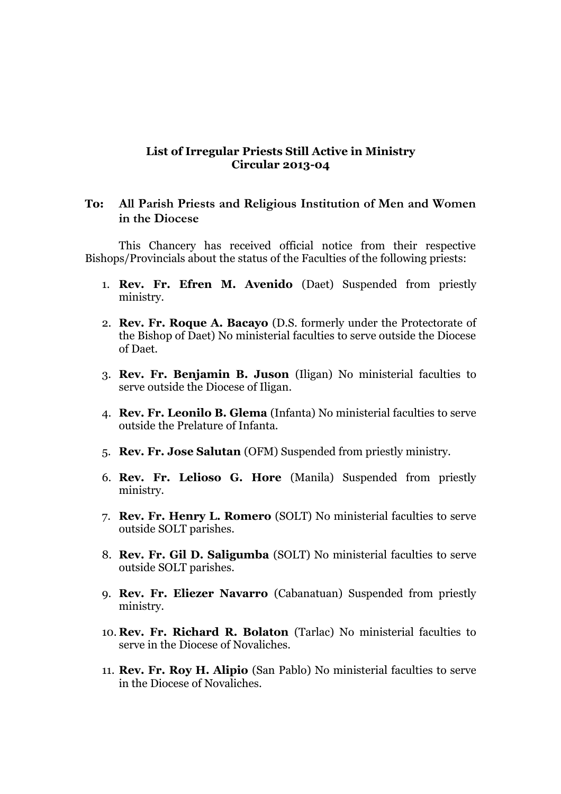### **List of Irregular Priests Still Active in Ministry Circular 2013-04**

# **To: All Parish Priests and Religious Institution of Men and Women in the Diocese**

This Chancery has received official notice from their respective Bishops/Provincials about the status of the Faculties of the following priests:

- 1. **Rev. Fr. Efren M. Avenido** (Daet) Suspended from priestly ministry.
- 2. **Rev. Fr. Roque A. Bacayo** (D.S. formerly under the Protectorate of the Bishop of Daet) No ministerial faculties to serve outside the Diocese of Daet.
- 3. **Rev. Fr. Benjamin B. Juson** (Iligan) No ministerial faculties to serve outside the Diocese of Iligan.
- 4. **Rev. Fr. Leonilo B. Glema** (Infanta) No ministerial faculties to serve outside the Prelature of Infanta.
- 5. **Rev. Fr. Jose Salutan** (OFM) Suspended from priestly ministry.
- 6. **Rev. Fr. Lelioso G. Hore** (Manila) Suspended from priestly ministry.
- 7. **Rev. Fr. Henry L. Romero** (SOLT) No ministerial faculties to serve outside SOLT parishes.
- 8. **Rev. Fr. Gil D. Saligumba** (SOLT) No ministerial faculties to serve outside SOLT parishes.
- 9. **Rev. Fr. Eliezer Navarro** (Cabanatuan) Suspended from priestly ministry.
- 10. **Rev. Fr. Richard R. Bolaton** (Tarlac) No ministerial faculties to serve in the Diocese of Novaliches.
- 11. **Rev. Fr. Roy H. Alipio** (San Pablo) No ministerial faculties to serve in the Diocese of Novaliches.